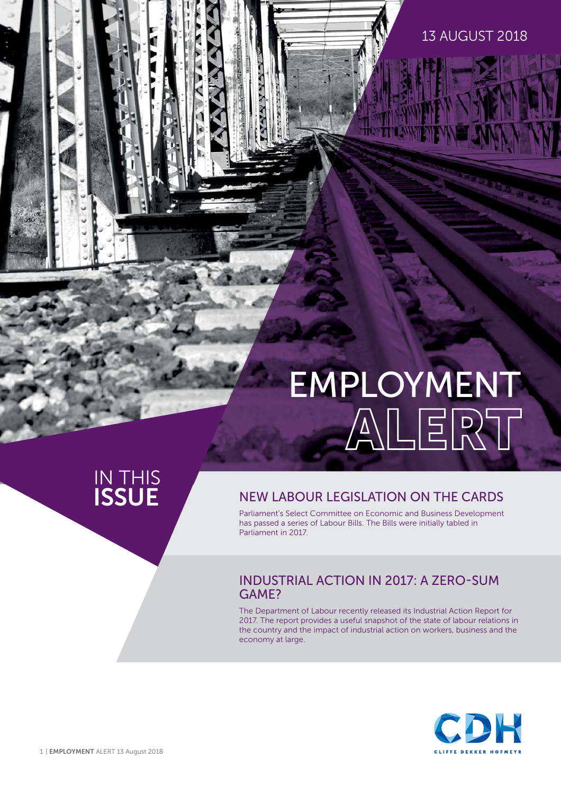#### 13 AUGUST 2018

# EMPLOYMENT

## IN THIS<br>**ISSUE**

#### **NEW LABOUR LEGISLATION ON THE CARDS**

Parliament's Select Committee on Economic and Business Development has passed a series of Labour Bills. The Bills were initially tabled in Parliament in 2017.

#### INDUSTRIAL ACTION IN 2017: A ZERO-SUM GAME?

The Department of Labour recently released its Industrial Action Report for 2017. The report provides a useful snapshot of the state of labour relations in the country and the impact of industrial action on workers, business and the economy at large.

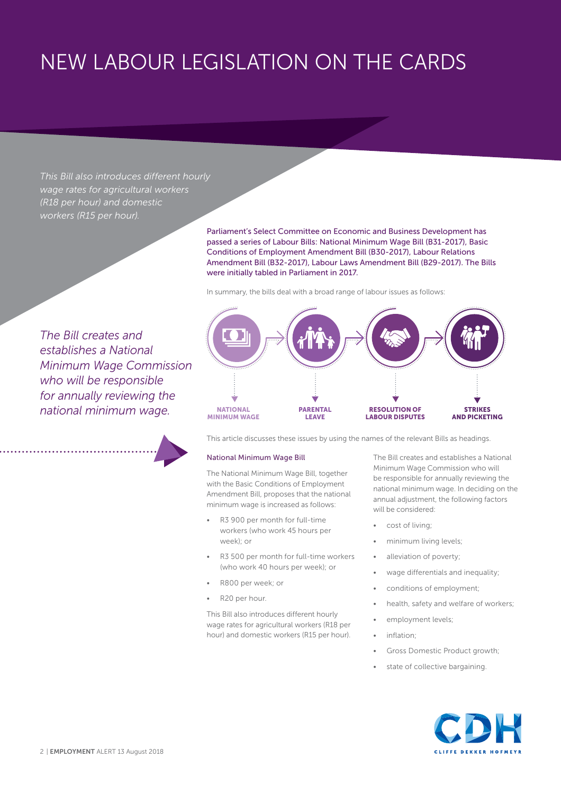## NEW LABOUR LEGISLATION ON THE CARDS

*This Bill also introduces different hourly wage rates for agricultural workers (R18 per hour) and domestic workers (R15 per hour).*

> Parliament's Select Committee on Economic and Business Development has passed a series of Labour Bills: National Minimum Wage Bill (B31-2017), Basic Conditions of Employment Amendment Bill (B30-2017), Labour Relations Amendment Bill (B32-2017), Labour Laws Amendment Bill (B29-2017). The Bills were initially tabled in Parliament in 2017.

In summary, the bills deal with a broad range of labour issues as follows:

**PARENTAL LEAVE**

*The Bill creates and establishes a National Minimum Wage Commission who will be responsible for annually reviewing the national minimum wage.* 

This article discusses these issues by using the names of the relevant Bills as headings.

#### National Minimum Wage Bill

**NATIONAL MINIMUM WAGE**

The National Minimum Wage Bill, together with the Basic Conditions of Employment Amendment Bill, proposes that the national minimum wage is increased as follows:

- R3 900 per month for full-time workers (who work 45 hours per week); or
- R3 500 per month for full-time workers (who work 40 hours per week); or
- R800 per week; or
- R20 per hour.

This Bill also introduces different hourly wage rates for agricultural workers (R18 per hour) and domestic workers (R15 per hour). The Bill creates and establishes a National Minimum Wage Commission who will be responsible for annually reviewing the national minimum wage. In deciding on the annual adjustment, the following factors will be considered:

**STRIKES AND PICKETING**

cost of living;

**RESOLUTION OF LABOUR DISPUTES**

- minimum living levels;
- alleviation of poverty;
- wage differentials and inequality;
- conditions of employment;
- health, safety and welfare of workers;
- employment levels;
- inflation:
- Gross Domestic Product growth;
- state of collective bargaining.

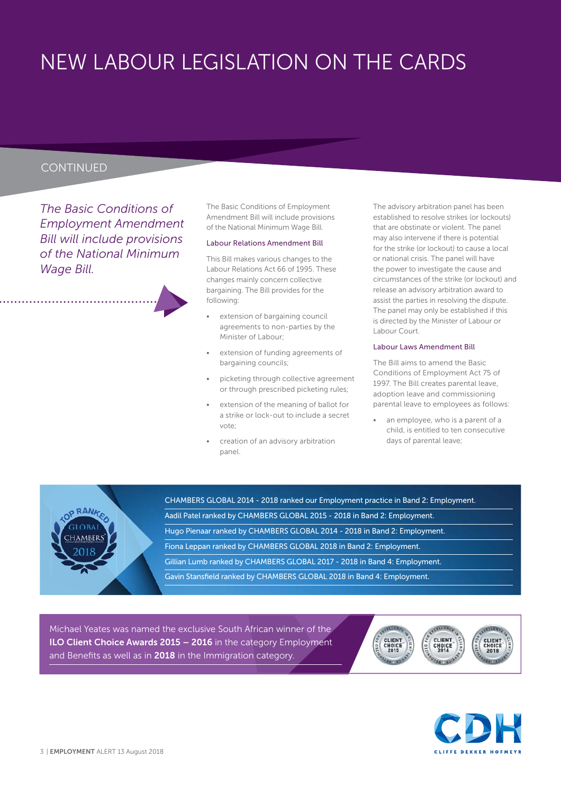## NEW LABOUR LEGISLATION ON THE CARDS

#### **CONTINUED**

*The Basic Conditions of Employment Amendment Bill will include provisions of the National Minimum Wage Bill.*

The Basic Conditions of Employment Amendment Bill will include provisions of the National Minimum Wage Bill.

#### Labour Relations Amendment Bill

This Bill makes various changes to the Labour Relations Act 66 of 1995. These changes mainly concern collective bargaining. The Bill provides for the following:

- extension of bargaining council agreements to non-parties by the Minister of Labour;
- extension of funding agreements of bargaining councils;
- picketing through collective agreement or through prescribed picketing rules;
- extension of the meaning of ballot for a strike or lock-out to include a secret vote;
- creation of an advisory arbitration panel.

The advisory arbitration panel has been established to resolve strikes (or lockouts) that are obstinate or violent. The panel may also intervene if there is potential for the strike (or lockout) to cause a local or national crisis. The panel will have the power to investigate the cause and circumstances of the strike (or lockout) and release an advisory arbitration award to assist the parties in resolving the dispute. The panel may only be established if this is directed by the Minister of Labour or Labour Court.

#### Labour Laws Amendment Bill

The Bill aims to amend the Basic Conditions of Employment Act 75 of 1997. The Bill creates parental leave, adoption leave and commissioning parental leave to employees as follows:

an employee, who is a parent of a child, is entitled to ten consecutive days of parental leave;



CHAMBERS GLOBAL 2014 - 2018 ranked our Employment practice in Band 2: Employment. Aadil Patel ranked by CHAMBERS GLOBAL 2015 - 2018 in Band 2: Employment. Hugo Pienaar ranked by CHAMBERS GLOBAL 2014 - 2018 in Band 2: Employment. Fiona Leppan ranked by CHAMBERS GLOBAL 2018 in Band 2: Employment. Gillian Lumb ranked by CHAMBERS GLOBAL 2017 - 2018 in Band 4: Employment. Gavin Stansfield ranked by CHAMBERS GLOBAL 2018 in Band 4: Employment.

Michael Yeates was named the exclusive South African winner of the **ILO Client Choice Awards 2015 – 2016** in the category Employment and Benefits as well as in **2018** in the Immigration category.



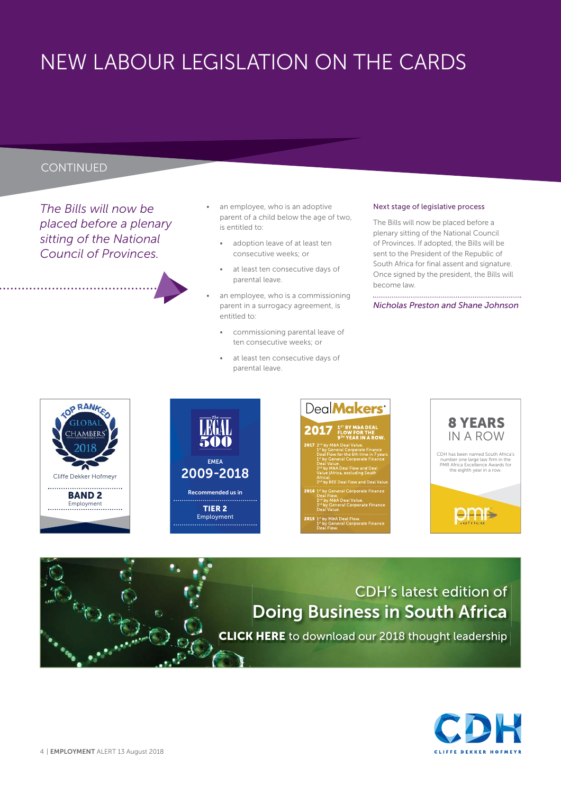## NEW LABOUR LEGISLATION ON THE CARDS

#### **CONTINUED**

*The Bills will now be placed before a plenary sitting of the National Council of Provinces.* 

- an employee, who is an adoptive parent of a child below the age of two, is entitled to:
	- adoption leave of at least ten consecutive weeks; or
	- at least ten consecutive days of parental leave.
- an employee, who is a commissioning parent in a surrogacy agreement, is entitled to:
	- commissioning parental leave of ten consecutive weeks; or
	- at least ten consecutive days of parental leave.

#### Next stage of legislative process

The Bills will now be placed before a plenary sitting of the National Council of Provinces. If adopted, the Bills will be sent to the President of the Republic of South Africa for final assent and signature. Once signed by the president, the Bills will become law.

*Nicholas Preston and Shane Johnson*









### CDH's latest edition of **Doing Business in South Africa [CLICK HERE](https://www.cliffedekkerhofmeyr.com/export/sites/cdh/en/about/downloads/Doing-Business-in-South-Africa-2018.pdf)** to download our 2018 thought leadership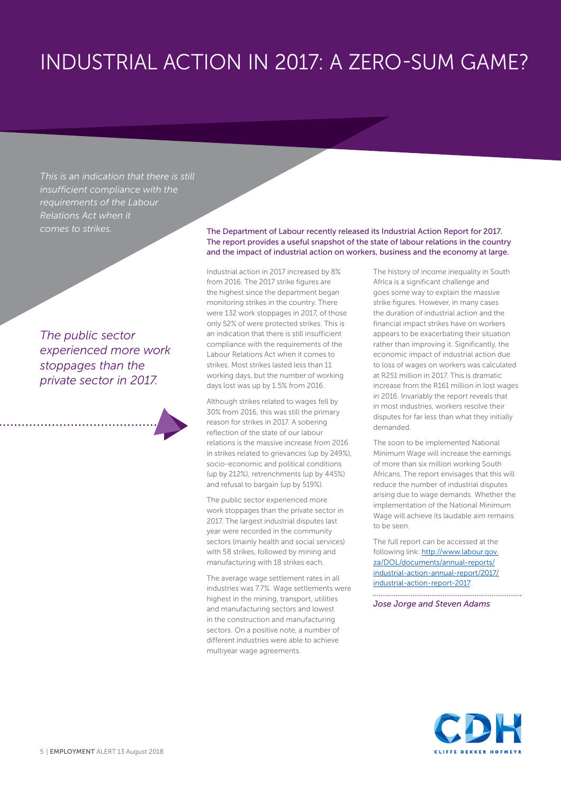## INDUSTRIAL ACTION IN 2017: A ZERO-SUM GAME?

*This is an indication that there is still insufficient compliance with the requirements of the Labour Relations Act when it* 

*The public sector experienced more work stoppages than the private sector in 2017.* 

*comes to strikes.* The Department of Labour recently released its Industrial Action Report for 2017. The report provides a useful snapshot of the state of labour relations in the country and the impact of industrial action on workers, business and the economy at large.

> Industrial action in 2017 increased by 8% from 2016. The 2017 strike figures are the highest since the department began monitoring strikes in the country. There were 132 work stoppages in 2017, of those only 52% of were protected strikes. This is an indication that there is still insufficient compliance with the requirements of the Labour Relations Act when it comes to strikes. Most strikes lasted less than 11 working days, but the number of working days lost was up by 1.5% from 2016.

Although strikes related to wages fell by 30% from 2016, this was still the primary reason for strikes in 2017. A sobering reflection of the state of our labour relations is the massive increase from 2016 in strikes related to grievances (up by 249%), socio-economic and political conditions (up by 212%), retrenchments (up by 445%) and refusal to bargain (up by 519%).

The public sector experienced more work stoppages than the private sector in 2017. The largest industrial disputes last year were recorded in the community sectors (mainly health and social services) with 58 strikes, followed by mining and manufacturing with 18 strikes each.

The average wage settlement rates in all industries was 7.7%. Wage settlements were highest in the mining, transport, utilities and manufacturing sectors and lowest in the construction and manufacturing sectors. On a positive note, a number of different industries were able to achieve multiyear wage agreements.

The history of income inequality in South Africa is a significant challenge and goes some way to explain the massive strike figures. However, in many cases the duration of industrial action and the financial impact strikes have on workers appears to be exacerbating their situation rather than improving it. Significantly, the economic impact of industrial action due to loss of wages on workers was calculated at R251 million in 2017. This is dramatic increase from the R161 million in lost wages in 2016. Invariably the report reveals that in most industries, workers resolve their disputes for far less than what they initially demanded.

The soon to be implemented National Minimum Wage will increase the earnings of more than six million working South Africans. The report envisages that this will reduce the number of industrial disputes arising due to wage demands. Whether the implementation of the National Minimum Wage will achieve its laudable aim remains to be seen.

The full report can be accessed at the following link: [http://www.labour.gov.](http://www.labour.gov.za/DOL/documents/annual-reports/industrial-action-annual-report/2017/industrial-action-report-2017) za/DOL/documents/annual-reports/ [industrial-action-annual-report/2017/](http://www.labour.gov.za/DOL/documents/annual-reports/industrial-action-annual-report/2017/industrial-action-report-2017) industrial-action-report-2017.

*Jose Jorge and Steven Adams* 

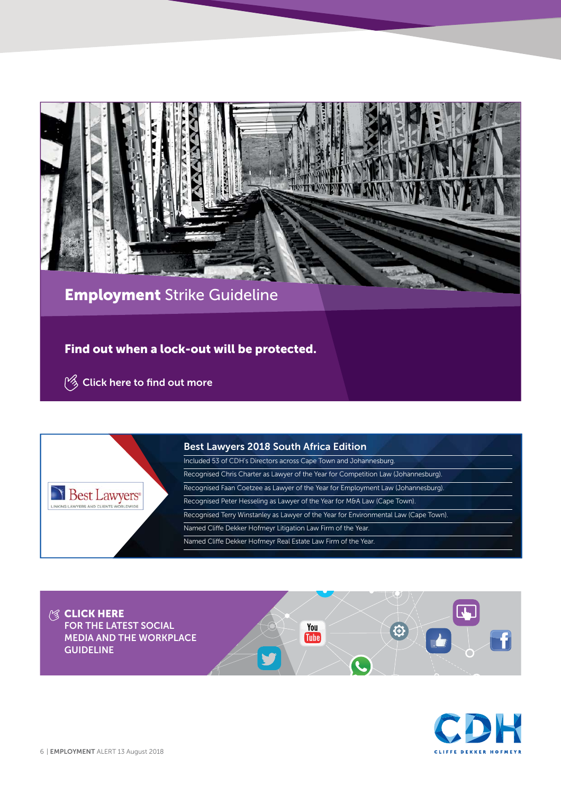

**Employment** Strike Guideline

**Find out when a lock-out will be protected.**

**Example 2 [Click here](https://www.cliffedekkerhofmeyr.com/export/sites/cdh/en/practice-areas/downloads/Employment-Strike-Guideline.pdf) to find out more** 



#### **Best Lawyers 2018 South Africa Edition**

Included 53 of CDH's Directors across Cape Town and Johannesburg. Recognised Chris Charter as Lawyer of the Year for Competition Law (Johannesburg). Recognised Faan Coetzee as Lawyer of the Year for Employment Law (Johannesburg). Recognised Peter Hesseling as Lawyer of the Year for M&A Law (Cape Town). Recognised Terry Winstanley as Lawyer of the Year for Environmental Law (Cape Town). Named Cliffe Dekker Hofmeyr Litigation Law Firm of the Year. Named Cliffe Dekker Hofmeyr Real Estate Law Firm of the Year.

R.

 $\Theta$ 

You

**Tube** 

**<b>ELICK HERE FOR THE LATEST SOCIAL MEDIA AND THE WORKPLACE GUIDELINE**